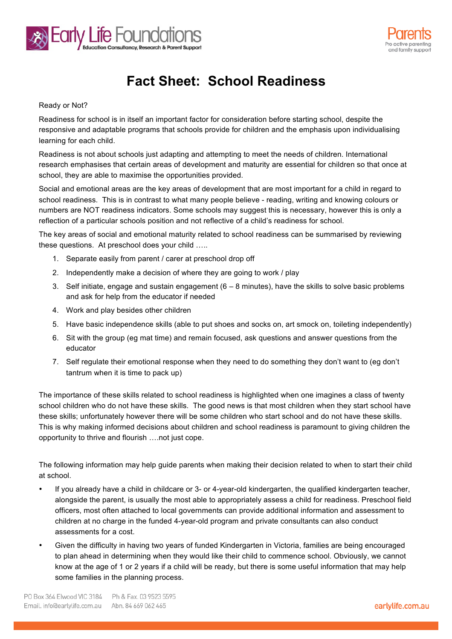



## **Fact Sheet: School Readiness**

## Ready or Not?

Readiness for school is in itself an important factor for consideration before starting school, despite the responsive and adaptable programs that schools provide for children and the emphasis upon individualising learning for each child.

Readiness is not about schools just adapting and attempting to meet the needs of children. International research emphasises that certain areas of development and maturity are essential for children so that once at school, they are able to maximise the opportunities provided.

Social and emotional areas are the key areas of development that are most important for a child in regard to school readiness. This is in contrast to what many people believe - reading, writing and knowing colours or numbers are NOT readiness indicators. Some schools may suggest this is necessary, however this is only a reflection of a particular schools position and not reflective of a child's readiness for school.

The key areas of social and emotional maturity related to school readiness can be summarised by reviewing these questions. At preschool does your child …..

- 1. Separate easily from parent / carer at preschool drop off
- 2. Independently make a decision of where they are going to work / play
- 3. Self initiate, engage and sustain engagement (6 8 minutes), have the skills to solve basic problems and ask for help from the educator if needed
- 4. Work and play besides other children
- 5. Have basic independence skills (able to put shoes and socks on, art smock on, toileting independently)
- 6. Sit with the group (eg mat time) and remain focused, ask questions and answer questions from the educator
- 7. Self regulate their emotional response when they need to do something they don't want to (eg don't tantrum when it is time to pack up)

The importance of these skills related to school readiness is highlighted when one imagines a class of twenty school children who do not have these skills. The good news is that most children when they start school have these skills; unfortunately however there will be some children who start school and do not have these skills. This is why making informed decisions about children and school readiness is paramount to giving children the opportunity to thrive and flourish ….not just cope.

The following information may help guide parents when making their decision related to when to start their child at school.

- If you already have a child in childcare or 3- or 4-year-old kindergarten, the qualified kindergarten teacher, alongside the parent, is usually the most able to appropriately assess a child for readiness. Preschool field officers, most often attached to local governments can provide additional information and assessment to children at no charge in the funded 4-year-old program and private consultants can also conduct assessments for a cost.
- Given the difficulty in having two years of funded Kindergarten in Victoria, families are being encouraged to plan ahead in determining when they would like their child to commence school. Obviously, we cannot know at the age of 1 or 2 years if a child will be ready, but there is some useful information that may help some families in the planning process.